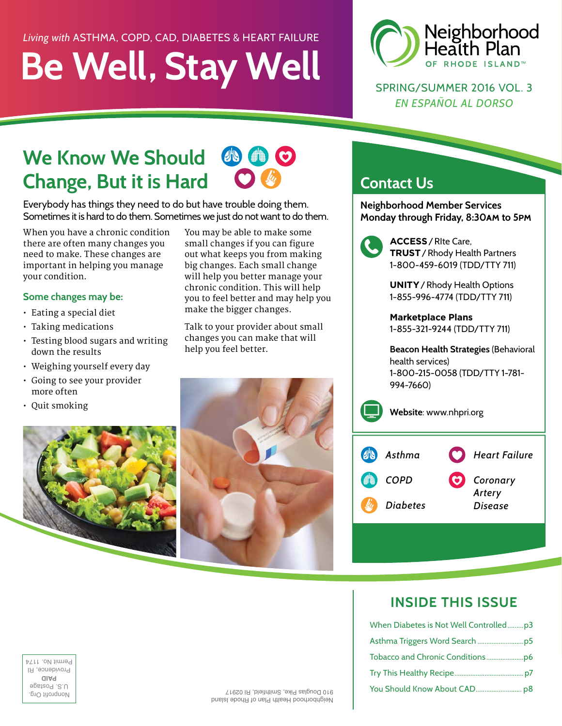### *Living with* ASTHMA, COPD, CAD, DIABETES & HEART FAILURE

# **Be Well, Stay Well**



SPRING/SUMMER 2016 VOL. 3 *EN ESPAÑOL AL DORSO*

### **We Know We Should**  OS # **Change, But it is Hard**

Everybody has things they need to do but have trouble doing them. Sometimes it is hard to do them. Sometimes we just do not want to do them.

When you have a chronic condition there are often many changes you need to make. These changes are important in helping you manage your condition.

### **Some changes may be:**

- Eating a special diet
- Taking medications
- Testing blood sugars and writing down the results
- Weighing yourself every day
- Going to see your provider more often
- Quit smoking



You may be able to make some small changes if you can figure out what keeps you from making big changes. Each small change will help you better manage your chronic condition. This will help you to feel better and may help you make the bigger changes.

 $\bullet$ 

Talk to your provider about small changes you can make that will help you feel better.



### **Contact Us**

**Neighborhood Member Services Monday through Friday, 8:30am to 5pm**



 **ACCESS**/RIte Care, **TRUST**/Rhody Health Partners 1-800-459-6019 (TDD/TTY 711)

**UNITY**/Rhody Health Options 1-855-996-4774 (TDD/TTY 711)

**Marketplace Plans** 1-855-321-9244 (TDD/TTY 711)

**Beacon Health Strategies** (Behavioral health services) 1-800-215-0058 (TDD/TTY 1-781- 994-7660)

**Website**: www.nhpri.org

| <b>UN</b> | Asthma          | Heart Failure     |
|-----------|-----------------|-------------------|
|           | <b>COPD</b>     | Coronary          |
|           | <b>Diabetes</b> | Artery<br>Disease |

### **INSIDE THIS ISSUE**

|                                |                                        | When Diabetes is Not Well Controlledp3 |
|--------------------------------|----------------------------------------|----------------------------------------|
|                                |                                        |                                        |
| I Permit No. 117               |                                        |                                        |
| Providence, H<br>aiaq          |                                        |                                        |
| U.S. Postage<br>Nonprofit Org. | 910 Douglas Pike, Smithfield, RI 02917 |                                        |

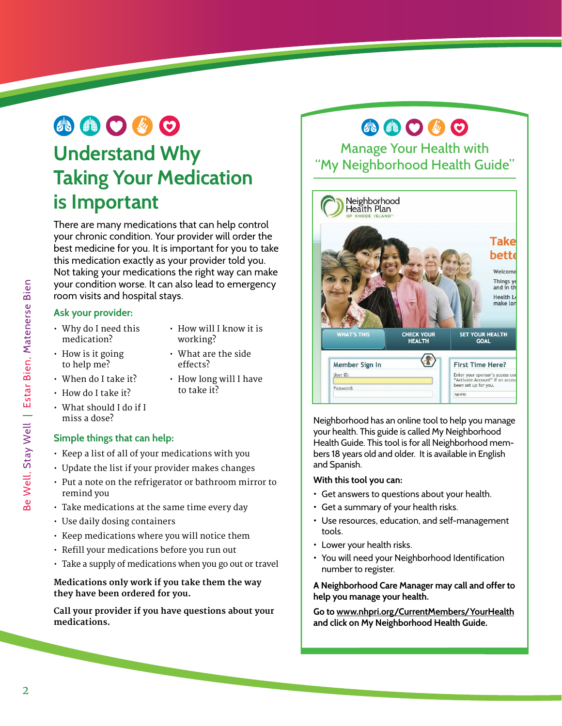# **ABO 40**

### **Understand Why Taking Your Medication is Important**

There are many medications that can help control your chronic condition. Your provider will order the best medicine for you. It is important for you to take this medication exactly as your provider told you. Not taking your medications the right way can make your condition worse. It can also lead to emergency room visits and hospital stays.

### **Ask your provider:**

- Why do I need this medication?
- How will I know it is working?
- How is it going to help me?
- What are the side effects?
- When do I take it?
- How long will I have to take it?
- How do I take it?
- What should I do if I miss a dose?

### **Simple things that can help:**

- Keep a list of all of your medications with you
- Update the list if your provider makes changes
- Put a note on the refrigerator or bathroom mirror to remind you
- Take medications at the same time every day
- Use daily dosing containers
- Keep medications where you will notice them
- Refill your medications before you run out
- Take a supply of medications when you go out or travel

### **Medications only work if you take them the way they have been ordered for you.**

**Call your provider if you have questions about your medications.**

## **ABOGO**

Manage Your Health with "My Neighborhood Health Guide"



Neighborhood has an online tool to help you manage your health. This guide is called My Neighborhood Health Guide. This tool is for all Neighborhood members 18 years old and older. It is available in English and Spanish.

### **With this tool you can:**

- Get answers to questions about your health.
- Get a summary of your health risks.
- Use resources, education, and self-management tools.
- Lower your health risks.
- You will need your Neighborhood Identification number to register.

**A Neighborhood Care Manager may call and offer to help you manage your health.** 

**Go to www.nhpri.org/CurrentMembers/YourHealth and click on My Neighborhood Health Guide.**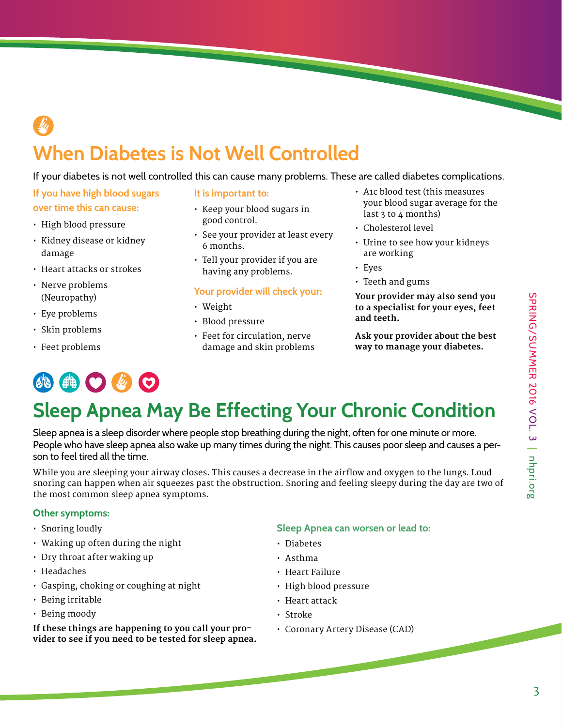# **When Diabetes is Not Well Controlled**

### If your diabetes is not well controlled this can cause many problems. These are called diabetes complications.

- **If you have high blood sugars over time this can cause:**
- High blood pressure
- Kidney disease or kidney damage
- Heart attacks or strokes
- Nerve problems (Neuropathy)
- Eye problems
- Skin problems
- Feet problems

# 小曲〇必〇

#### **It is important to:**

- Keep your blood sugars in good control.
- See your provider at least every 6 months.
- Tell your provider if you are having any problems.

### **Your provider will check your:**

- Weight
- Blood pressure
- Feet for circulation, nerve damage and skin problems
- A1c blood test (this measures your blood sugar average for the last 3 to 4 months)
- Cholesterol level
- Urine to see how your kidneys are working
- Eyes
- Teeth and gums

**Your provider may also send you to a specialist for your eyes, feet and teeth.**

**Ask your provider about the best way to manage your diabetes.**

# **Sleep Apnea May Be Effecting Your Chronic Condition**

Sleep apnea is a sleep disorder where people stop breathing during the night, often for one minute or more. People who have sleep apnea also wake up many times during the night. This causes poor sleep and causes a person to feel tired all the time.

While you are sleeping your airway closes. This causes a decrease in the airflow and oxygen to the lungs. Loud snoring can happen when air squeezes past the obstruction. Snoring and feeling sleepy during the day are two of the most common sleep apnea symptoms.

### **Other symptoms:**

- Snoring loudly
- Waking up often during the night
- Dry throat after waking up
- Headaches
- Gasping, choking or coughing at night
- Being irritable
- Being moody

**If these things are happening to you call your provider to see if you need to be tested for sleep apnea.** 

### **Sleep Apnea can worsen or lead to:**

- Diabetes
- Asthma
- Heart Failure
- High blood pressure
- Heart attack
- Stroke
- Coronary Artery Disease (CAD)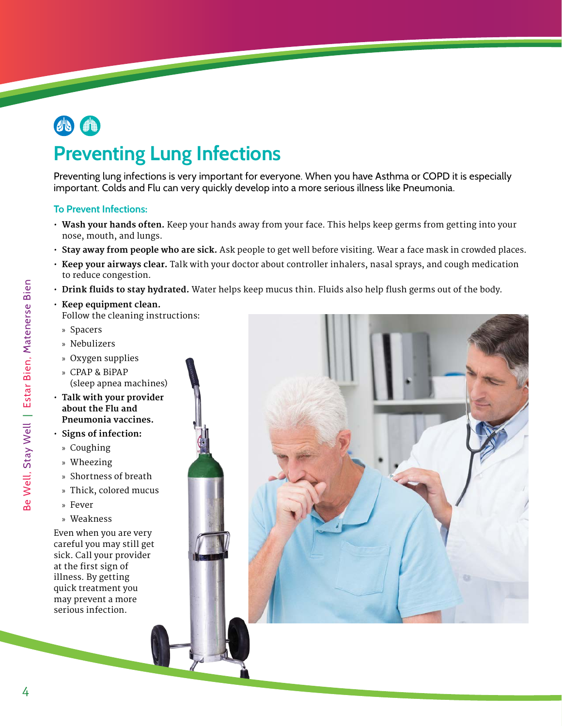

## **Preventing Lung Infections**

Preventing lung infections is very important for everyone. When you have Asthma or COPD it is especially important. Colds and Flu can very quickly develop into a more serious illness like Pneumonia.

#### **To Prevent Infections:**

- **Wash your hands often.** Keep your hands away from your face. This helps keep germs from getting into your nose, mouth, and lungs.
- **Stay away from people who are sick.** Ask people to get well before visiting. Wear a face mask in crowded places.
- **Keep your airways clear.** Talk with your doctor about controller inhalers, nasal sprays, and cough medication to reduce congestion.
- **Drink fluids to stay hydrated.** Water helps keep mucus thin. Fluids also help flush germs out of the body.
- **Keep equipment clean.** Follow the cleaning instructions:
	- » Spacers
	- » Nebulizers
- » Oxygen supplies
- » CPAP & BiPAP (sleep apnea machines)
- **Talk with your provider about the Flu and Pneumonia vaccines.**
- **Signs of infection:**
	- » Coughing
	- » Wheezing
	- » Shortness of breath
	- » Thick, colored mucus
	- » Fever
	- » Weakness

Even when you are very careful you may still get sick. Call your provider at the first sign of illness. By getting quick treatment you may prevent a more serious infection.

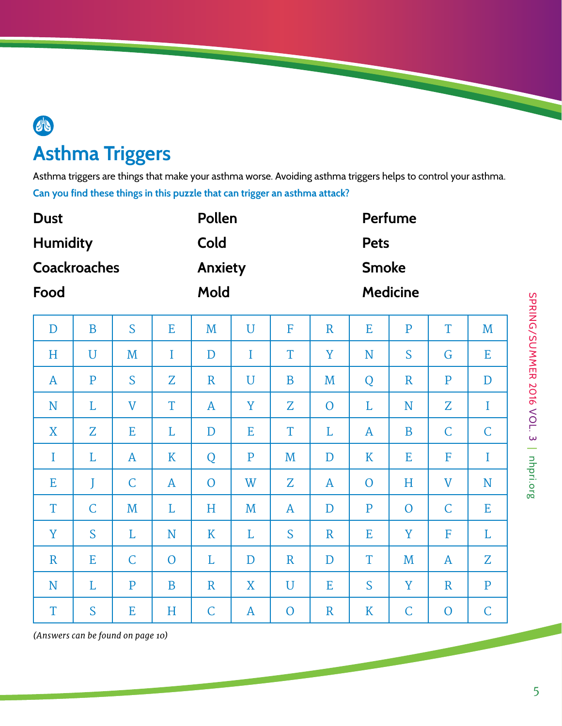# **Asthma Triggers**

 $46$ 

Asthma triggers are things that make your asthma worse. Avoiding asthma triggers helps to control your asthma. **Can you find these things in this puzzle that can trigger an asthma attack?**

| <b>Dust</b>         |              |              |              | Pollen         |              |                |              | Perfume      |                 |                |              |  |  |
|---------------------|--------------|--------------|--------------|----------------|--------------|----------------|--------------|--------------|-----------------|----------------|--------------|--|--|
| <b>Humidity</b>     |              |              |              | Cold           |              |                |              |              | <b>Pets</b>     |                |              |  |  |
| <b>Coackroaches</b> |              |              |              | <b>Anxiety</b> |              |                |              |              | <b>Smoke</b>    |                |              |  |  |
| Food                |              |              |              | Mold           |              |                |              |              | <b>Medicine</b> |                |              |  |  |
| $\mathbf D$         | B            | S            | E            | M              | U            | F              | $\mathbb{R}$ | E            | $\mathbf{P}$    | T              | M            |  |  |
| H                   | $\mathbf U$  | M            | $\bf{I}$     | $\mathbf D$    | $\bf{I}$     | T              | Y            | N            | S               | G              | E            |  |  |
| A                   | $\mathbf{P}$ | S            | Z            | $\mathbf R$    | $\mathbf U$  | B              | M            | Q            | $\mathbf R$     | $\mathbf{P}$   | D            |  |  |
| N                   | L            | $\mathbf V$  | T            | A              | Y            | Z              | $\mathbf{O}$ | L            | N               | Z              | I            |  |  |
| X                   | $Z_{\rm}$    | E            | L            | $\mathbf D$    | E            | T              | L            | A            | B               | $\mathsf C$    | $\mathsf{C}$ |  |  |
| $\bf{I}$            | L            | $\mathbf{A}$ | K            | Q              | $\mathbf{P}$ | M              | $\mathbf D$  | K            | E               | F              | $\bf{I}$     |  |  |
| Ε                   | J            | $\mathsf C$  | $\mathbf{A}$ | $\mathbf{O}$   | W            | Z              | A            | $\mathbf{O}$ | H               | $\mathbf V$    | N            |  |  |
| T                   | $\mathsf C$  | M            | L            | H              | M            | $\mathbf{A}$   | D            | $\mathbf{P}$ | $\overline{O}$  | $\mathsf C$    | E            |  |  |
| Y                   | S            | L            | N            | K              | L            | S              | $\mathbf R$  | E            | Y               | F              | L            |  |  |
| $\mathbf R$         | E            | $\mathsf C$  | $\mathbf{O}$ | L              | $\mathbf D$  | $\mathbf R$    | D            | T            | M               | A              | Z            |  |  |
| N                   | L            | $\mathbf{P}$ | B            | $\mathbf R$    | X            | $\mathbf U$    | Ε            | S            | Y               | $\mathbf R$    | $\mathbf{P}$ |  |  |
| T                   | S            | E            | $H_{\rm}$    | $\mathsf C$    | $\mathbf{A}$ | $\overline{O}$ | $\mathbf R$  | K            | $\mathsf{C}$    | $\overline{O}$ | $\mathsf C$  |  |  |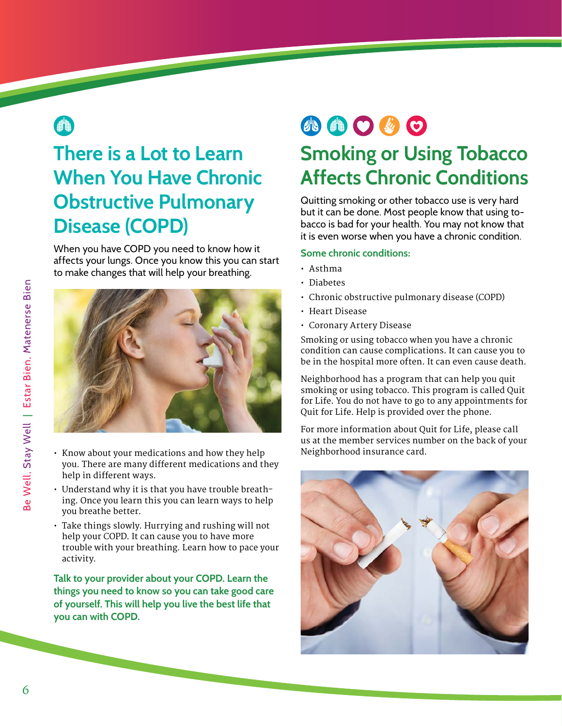### ●

## **There is a Lot to Learn When You Have Chronic Obstructive Pulmonary Disease (COPD)**

When you have COPD you need to know how it affects your lungs. Once you know this you can start to make changes that will help your breathing.



- Know about your medications and how they help you. There are many different medications and they help in different ways.
- Understand why it is that you have trouble breathing. Once you learn this you can learn ways to help you breathe better.
- Take things slowly. Hurrying and rushing will not help your COPD. It can cause you to have more trouble with your breathing. Learn how to pace your activity.

**Talk to your provider about your COPD. Learn the things you need to know so you can take good care of yourself. This will help you live the best life that you can with COPD.**

# 小曲〇必〇

### **Smoking or Using Tobacco Affects Chronic Conditions**

Quitting smoking or other tobacco use is very hard but it can be done. Most people know that using tobacco is bad for your health. You may not know that it is even worse when you have a chronic condition.

#### **Some chronic conditions:**

- Asthma
- Diabetes
- Chronic obstructive pulmonary disease (COPD)
- Heart Disease
- Coronary Artery Disease

Smoking or using tobacco when you have a chronic condition can cause complications. It can cause you to be in the hospital more often. It can even cause death.

Neighborhood has a program that can help you quit smoking or using tobacco. This program is called Quit for Life. You do not have to go to any appointments for Quit for Life. Help is provided over the phone.

For more information about Quit for Life, please call us at the member services number on the back of your Neighborhood insurance card.

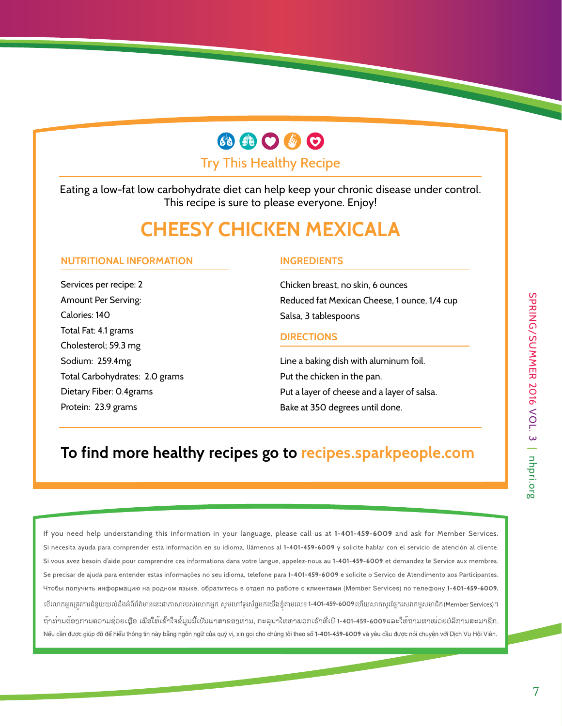# **ABOGO**

Try This Healthy Recipe

Eating a low-fat low carbohydrate diet can help keep your chronic disease under control. This recipe is sure to please everyone. Enjoy!

### **CHEESY CHICKEN MEXICALA**

### **NUTRITIONAL INFORMATION**

Services per recipe: 2 Amount Per Serving: Calories: 140 Total Fat: 4.1 grams Cholesterol; 59.3 mg Sodium: 259.4mg Total Carbohydrates: 2.0 grams Dietary Fiber: 0.4grams Protein: 23.9 grams

### **INGREDIENTS**

Chicken breast, no skin, 6 ounces Reduced fat Mexican Cheese, 1 ounce, 1/4 cup Salsa, 3 tablespoons

#### **DIRECTIONS**

Line a baking dish with aluminum foil. Put the chicken in the pan. Put a layer of cheese and a layer of salsa. Bake at 350 degrees until done.

### **To find more healthy recipes go to recipes.sparkpeople.com**

If you need help understanding this information in your language, please call us at 1-401-459-6009 and ask for Member Services. Si necesita ayuda para comprender esta información en su idioma, llámenos al 1-401-459-6009 y solicite hablar con el servicio de atención al cliente. Si vous avez besoin d'aide pour comprendre ces informations dans votre langue, appelez-nous au 1-401-459-6009 et demandez le Service aux membres. Se precisar de ajuda para entender estas informações no seu idioma, telefone para 1-401-459-6009 e solicite o Serviço de Atendimento aos Participantes. Чтобы получить информацию на родном языке, обратитесь в отдел по работе с клиентами (Member Services) по телефону 1-401-459-6009. បើលោកអ្នកត្រូវការជំនួយយល់ដឹងអំពីព័ត៌មាននេះជាភាសារបស់លោកអ្នក សូមហៅទូរស័ព្ទមកយើងខ្ញុំតាមលេខ **1-401-459-6009** ហើយសាកសួរផ្នែកសេវាកម្មសមាជិក(Member Services)។ ້ຖາທ່ານຕ້ອງການຄວາມຊ<sup>່</sup>ວຍເຫຼືອ ເພື່ອໃຫ້ເຂົ້າໃຈຂໍ້ມູນນີ້ເປັນພາສາຂອງທ່ານ, ກະລຸນາໂທຫາພວກເຮົາທີ່ເບີ 1-401-459-6009ແລະໃຫ້ຖາມຫາໜ່ວຍບໍລິການສະມາຊິກ. Nếu cần được giúp đỡ để hiểu thông tin này bằng ngôn ngữ của quý vị, xin gọi cho chúng tôi theo số 1-401-459-6009 và yêu cầu được nói chuyện với Dịch Vụ Hội Viên.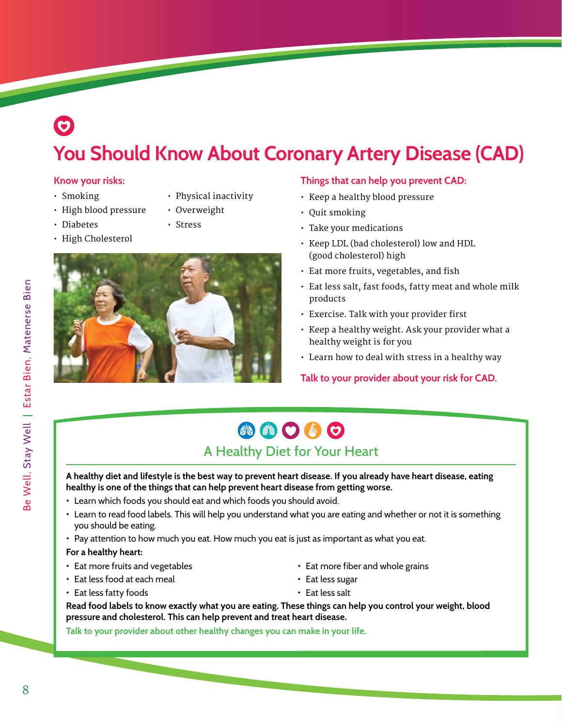## $\odot$ **You Should Know About Coronary Artery Disease (CAD)**

### **Know your risks:**

- Smoking
- High blood pressure
- Diabetes
- High Cholesterol
- Physical inactivity
- Overweight
- Stress



### **Things that can help you prevent CAD:**

- Keep a healthy blood pressure
- Quit smoking
- Take your medications
- Keep LDL (bad cholesterol) low and HDL (good cholesterol) high
- Eat more fruits, vegetables, and fish
- Eat less salt, fast foods, fatty meat and whole milk products
- Exercise. Talk with your provider first
- Keep a healthy weight. Ask your provider what a healthy weight is for you
- Learn how to deal with stress in a healthy way

**Talk to your provider about your risk for CAD.**

### 小自己的口 A Healthy Diet for Your Heart

**A healthy diet and lifestyle is the best way to prevent heart disease. If you already have heart disease, eating healthy is one of the things that can help prevent heart disease from getting worse.** 

- Learn which foods you should eat and which foods you should avoid.
- Learn to read food labels. This will help you understand what you are eating and whether or not it is something you should be eating.
- Pay attention to how much you eat. How much you eat is just as important as what you eat.

#### **For a healthy heart:**

- Eat more fruits and vegetables
- Eat less food at each meal
- Eat less fatty foods
- Eat more fiber and whole grains
- Eat less sugar
- Eat less salt

**Read food labels to know exactly what you are eating. These things can help you control your weight, blood pressure and cholesterol. This can help prevent and treat heart disease.** 

**Talk to your provider about other healthy changes you can make in your life.**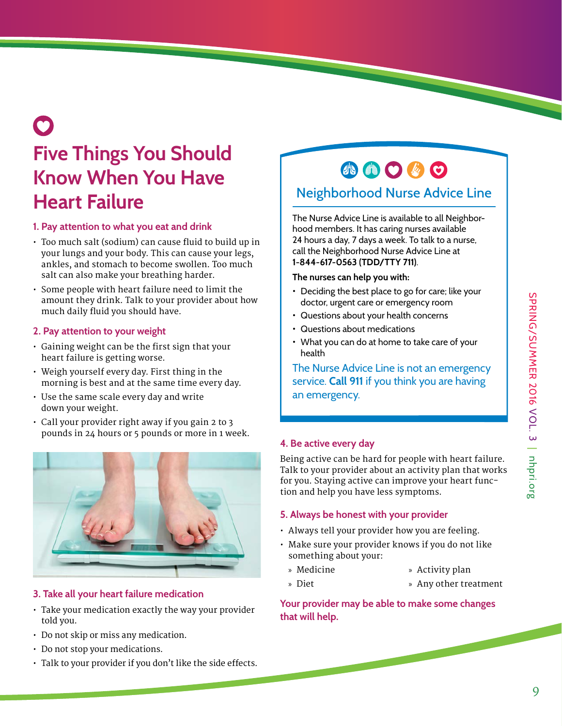# **Five Things You Should Know When You Have Heart Failure**

### **1. Pay attention to what you eat and drink**

- Too much salt (sodium) can cause fluid to build up in your lungs and your body. This can cause your legs, ankles, and stomach to become swollen. Too much salt can also make your breathing harder.
- Some people with heart failure need to limit the amount they drink. Talk to your provider about how much daily fluid you should have.

### **2. Pay attention to your weight**

- Gaining weight can be the first sign that your heart failure is getting worse.
- Weigh yourself every day. First thing in the morning is best and at the same time every day.
- Use the same scale every day and write down your weight.
- Call your provider right away if you gain 2 to 3 pounds in 24 hours or 5 pounds or more in 1 week.



### **3. Take all your heart failure medication**

- Take your medication exactly the way your provider told you.
- Do not skip or miss any medication.
- Do not stop your medications.
- Talk to your provider if you don't like the side effects.

## 小曲〇步〇

### Neighborhood Nurse Advice Line

The Nurse Advice Line is available to all Neighborhood members. It has caring nurses available 24 hours a day, 7 days a week. To talk to a nurse, call the Neighborhood Nurse Advice Line at **1-844-617-0563 (TDD/TTY 711)**.

#### **The nurses can help you with:**

- Deciding the best place to go for care; like your doctor, urgent care or emergency room
- Questions about your health concerns
- Questions about medications
- What you can do at home to take care of your health

The Nurse Advice Line is not an emergency service. **Call 911** if you think you are having an emergency.

### **4. Be active every day**

Being active can be hard for people with heart failure. Talk to your provider about an activity plan that works for you. Staying active can improve your heart function and help you have less symptoms.

### **5. Always be honest with your provider**

- Always tell your provider how you are feeling.
- Make sure your provider knows if you do not like something about your:
	- » Medicine
- » Activity plan
- » Diet
- » Any other treatment

**Your provider may be able to make some changes that will help.**